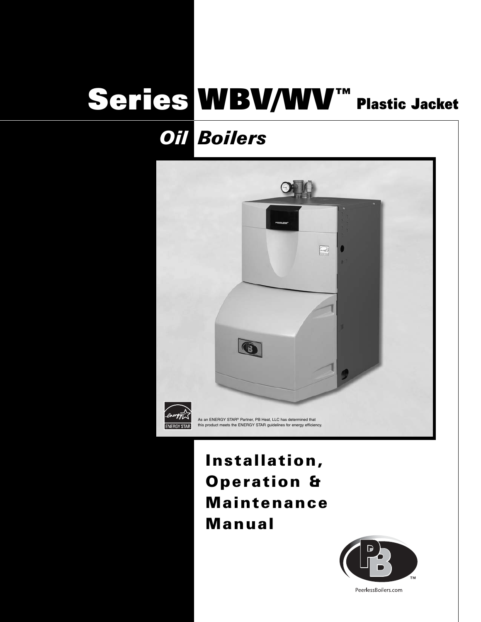# Series WBV/WV™ Plastic Jacket

## *Boilers Oil*



## Installation, Operation & Maintenance Manual



PeerlessBoilers.com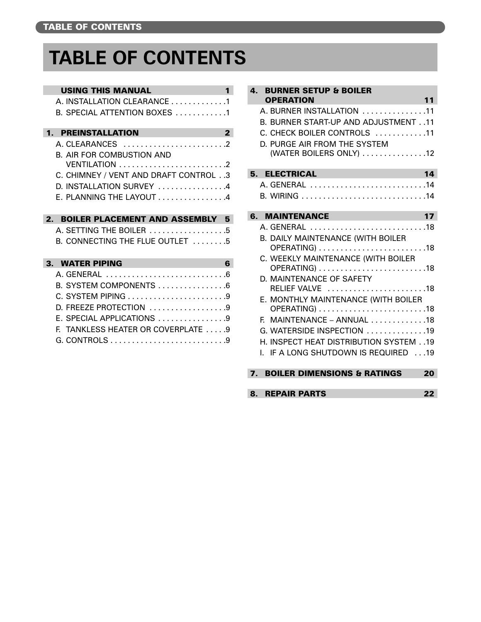## **TABLE OF CONTENTS**

| <b>USING THIS MANUAL</b> |
|--------------------------|
|--------------------------|

|                  | A. INSTALLATION CLEARANCE 1                             |
|------------------|---------------------------------------------------------|
|                  | B. SPECIAL ATTENTION BOXES 1                            |
| $\mathbf 1$      | <b>PREINSTALLATION</b><br>$\overline{2}$                |
|                  | A. CI FARANCES                                          |
|                  | <b>B. AIR FOR COMBUSTION AND</b>                        |
|                  |                                                         |
|                  | C. CHIMNEY / VENT AND DRAFT CONTROL 3                   |
|                  | D. INSTALLATION SURVEY 4                                |
|                  | E. PLANNING THE LAYOUT $\ldots \ldots \ldots \ldots 4$  |
|                  |                                                         |
| $\overline{2}$ . | <b>BOILER PLACEMENT AND ASSEMBLY</b><br>5               |
|                  |                                                         |
|                  | A. SETTING THE BOILER 5                                 |
|                  | B. CONNECTING THE FLUE OUTLET $\dots\dots$              |
|                  |                                                         |
|                  | 3. WATER PIPING<br>6                                    |
|                  | A GENERAL                                               |
|                  | B. SYSTEM COMPONENTS 6                                  |
|                  |                                                         |
|                  | D. FREEZE PROTECTION 9                                  |
|                  | $E.$ SPECIAL APPLICATIONS $\ldots \ldots \ldots \ldots$ |
|                  | TANKLESS HEATER OR COVERPLATE 9<br>F.                   |

| $\mathbf{A}$<br><b>BURNER SETUP &amp; BOILER</b>                                                                                                                                                                               |    |
|--------------------------------------------------------------------------------------------------------------------------------------------------------------------------------------------------------------------------------|----|
| <b>OPERATION</b>                                                                                                                                                                                                               | 11 |
| A. BURNER INSTALLATION 11                                                                                                                                                                                                      |    |
| <b>B. BURNER START-UP AND ADJUSTMENT11</b>                                                                                                                                                                                     |    |
| C. CHECK BOILER CONTROLS 11                                                                                                                                                                                                    |    |
| D. PURGE AIR FROM THE SYSTEM<br>(WATER BOILERS ONLY) 12                                                                                                                                                                        |    |
|                                                                                                                                                                                                                                |    |
| 5. ELECTRICAL AND ARRESTS AND LODGED AT LCCC.                                                                                                                                                                                  | 14 |
| A. GENERAL 14                                                                                                                                                                                                                  |    |
| B. WIRING 14                                                                                                                                                                                                                   |    |
|                                                                                                                                                                                                                                |    |
| 6. MAINTENANCE And the contract of the contract of the contract of the contract of the contract of the contract of the contract of the contract of the contract of the contract of the contract of the contract of the contrac | 17 |
| A. GENERAL 18                                                                                                                                                                                                                  |    |
| <b>B. DAILY MAINTENANCE (WITH BOILER</b>                                                                                                                                                                                       |    |
| C. WEEKLY MAINTENANCE (WITH BOILER                                                                                                                                                                                             |    |
|                                                                                                                                                                                                                                |    |
| D. MAINTENANCE OF SAFETY                                                                                                                                                                                                       |    |
| RELIEF VALVE 18                                                                                                                                                                                                                |    |
| E. MONTHLY MAINTENANCE (WITH BOILER                                                                                                                                                                                            |    |
|                                                                                                                                                                                                                                |    |
| MAINTENANCE – ANNUAL $\ldots \ldots \ldots \ldots$ 18<br>E.                                                                                                                                                                    |    |
| G. WATERSIDE INSPECTION 19                                                                                                                                                                                                     |    |
| H. INSPECT HEAT DISTRIBUTION SYSTEM 19                                                                                                                                                                                         |    |
| I. IF A LONG SHUTDOWN IS REQUIRED 19                                                                                                                                                                                           |    |
|                                                                                                                                                                                                                                |    |
| <b>7. BOILER DIMENSIONS &amp; RATINGS</b>                                                                                                                                                                                      | 20 |
| <b>REPAIR PARTS</b><br>8.                                                                                                                                                                                                      | 22 |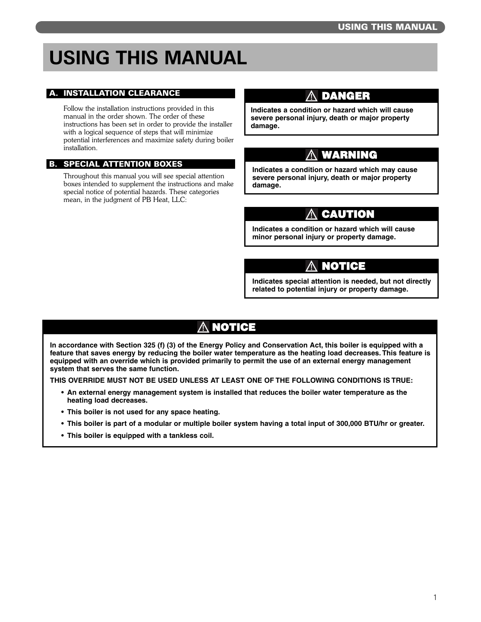## **USING THIS MANUAL**

#### A. INSTALLATION CLEARANCE

Follow the installation instructions provided in this manual in the order shown. The order of these instructions has been set in order to provide the installer with a logical sequence of steps that will minimize potential interferences and maximize safety during boiler installation.

#### B. SPECIAL ATTENTION BOXES

Throughout this manual you will see special attention boxes intended to supplement the instructions and make special notice of potential hazards. These categories mean, in the judgment of PB Heat, LLC:

### **DANGER**

**Indicates a condition or hazard which will cause severe personal injury, death or major property damage.**

### **WARNING**

**Indicates a condition or hazard which may cause severe personal injury, death or major property damage.**

## **CAUTION**

**Indicates a condition or hazard which will cause minor personal injury or property damage.**

## **NOTICE**

**Indicates special attention is needed, but not directly related to potential injury or property damage.**

## **NOTICE**

**In accordance with Section 325 (f) (3) of the Energy Policy and Conservation Act, this boiler is equipped with a feature that saves energy by reducing the boiler water temperature as the heating load decreases. This feature is equipped with an override which is provided primarily to permit the use of an external energy management system that serves the same function.** 

**THIS OVERRIDE MUST NOT BE USED UNLESS AT LEAST ONE OF THE FOLLOWING CONDITIONS IS TRUE:** 

- **An external energy management system is installed that reduces the boiler water temperature as the heating load decreases.**
- **This boiler is not used for any space heating.**
- **This boiler is part of a modular or multiple boiler system having a total input of 300,000 BTU/hr or greater.**
- **This boiler is equipped with a tankless coil.**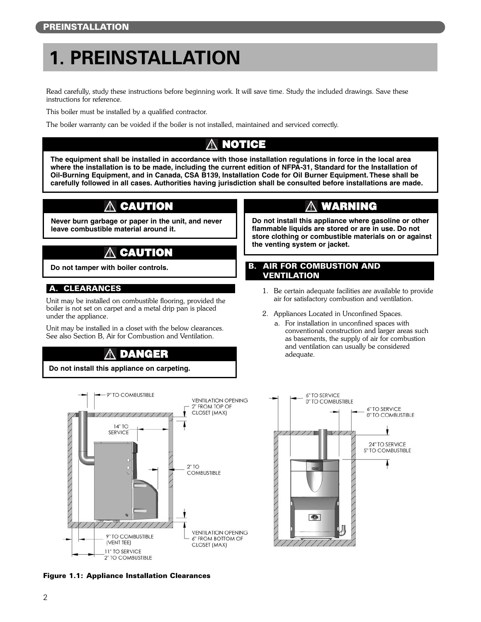## **1. PREINSTALLATION**

Read carefully, study these instructions before beginning work. It will save time. Study the included drawings. Save these instructions for reference.

This boiler must be installed by a qualified contractor.

The boiler warranty can be voided if the boiler is not installed, maintained and serviced correctly.

## **NOTICE**

**The equipment shall be installed in accordance with those installation regulations in force in the local area where the installation is to be made, including the current edition of NFPA-31, Standard for the Installation of Oil-Burning Equipment, and in Canada, CSA B139, Installation Code for Oil Burner Equipment. These shall be carefully followed in all cases. Authorities having jurisdiction shall be consulted before installations are made.**

## **CAUTION**

**Never burn garbage or paper in the unit, and never leave combustible material around it.**

## **CAUTION**

**Do not tamper with boiler controls.**

#### A. CLEARANCES

Unit may be installed on combustible flooring, provided the boiler is not set on carpet and a metal drip pan is placed under the appliance.

Unit may be installed in a closet with the below clearances. See also Section B, Air for Combustion and Ventilation.

## **DANGER**

**Do not install this appliance on carpeting.**



#### Figure 1.1: Appliance Installation Clearances

### **WARNING**

**Do not install this appliance where gasoline or other flammable liquids are stored or are in use. Do not store clothing or combustible materials on or against the venting system or jacket.**

#### B. AIR FOR COMBUSTION AND VENTILATION

- 1. Be certain adequate facilities are available to provide air for satisfactory combustion and ventilation.
- 2. Appliances Located in Unconfined Spaces.
	- a. For installation in unconfined spaces with conventional construction and larger areas such as basements, the supply of air for combustion and ventilation can usually be considered adequate.

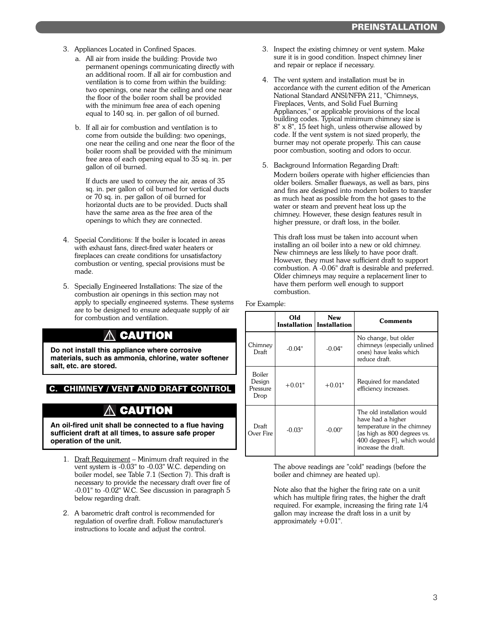- 3. Appliances Located in Confined Spaces.
	- a. All air from inside the building: Provide two permanent openings communicating directly with an additional room. If all air for combustion and ventilation is to come from within the building: two openings, one near the ceiling and one near the floor of the boiler room shall be provided with the minimum free area of each opening equal to 140 sq. in. per gallon of oil burned.
	- b. If all air for combustion and ventilation is to come from outside the building: two openings, one near the ceiling and one near the floor of the boiler room shall be provided with the minimum free area of each opening equal to 35 sq. in. per gallon of oil burned.

If ducts are used to convey the air, areas of 35 sq. in. per gallon of oil burned for vertical ducts or 70 sq. in. per gallon of oil burned for horizontal ducts are to be provided. Ducts shall have the same area as the free area of the openings to which they are connected.

- 4. Special Conditions: If the boiler is located in areas with exhaust fans, direct-fired water heaters or fireplaces can create conditions for unsatisfactory combustion or venting, special provisions must be made.
- 5. Specially Engineered Installations: The size of the combustion air openings in this section may not apply to specially engineered systems. These systems are to be designed to ensure adequate supply of air for combustion and ventilation.

## **CAUTION**

**Do not install this appliance where corrosive materials, such as ammonia, chlorine, water softener salt, etc. are stored.**

#### C. CHIMNEY / VENT AND DRAFT CONTROL

### **CAUTION**

**An oil-fired unit shall be connected to a flue having sufficient draft at all times, to assure safe proper operation of the unit.**

- 1. Draft Requirement Minimum draft required in the vent system is -0.03" to -0.03" W.C. depending on boiler model, see Table 7.1 (Section 7). This draft is necessary to provide the necessary draft over fire of -0.01" to -0.02" W.C. See discussion in paragraph 5 below regarding draft.
- 2. A barometric draft control is recommended for regulation of overfire draft. Follow manufacturer's instructions to locate and adjust the control.
- 3. Inspect the existing chimney or vent system. Make sure it is in good condition. Inspect chimney liner and repair or replace if necessary.
- 4. The vent system and installation must be in accordance with the current edition of the American National Standard ANSI/NFPA 211, "Chimneys, Fireplaces, Vents, and Solid Fuel Burning Appliances," or applicable provisions of the local building codes. Typical minimum chimney size is 8" x 8", 15 feet high, unless otherwise allowed by code. If the vent system is not sized properly, the burner may not operate properly. This can cause poor combustion, sooting and odors to occur.
- 5. Background Information Regarding Draft: Modern boilers operate with higher efficiencies than older boilers. Smaller flueways, as well as bars, pins and fins are designed into modern boilers to transfer as much heat as possible from the hot gases to the water or steam and prevent heat loss up the chimney. However, these design features result in higher pressure, or draft loss, in the boiler.

This draft loss must be taken into account when installing an oil boiler into a new or old chimney. New chimneys are less likely to have poor draft. However, they must have sufficient draft to support combustion. A -0.06" draft is desirable and preferred. Older chimneys may require a replacement liner to have them perform well enough to support combustion.

|  | For Example: |  |
|--|--------------|--|
|--|--------------|--|

|                                      | Old<br>Installation   Installation | <b>New</b> | Comments                                                                                                                                                           |
|--------------------------------------|------------------------------------|------------|--------------------------------------------------------------------------------------------------------------------------------------------------------------------|
| Chimney<br>Draft                     | $-0.04"$                           | $-0.04"$   | No change, but older<br>chimneys (especially unlined<br>ones) have leaks which<br>reduce draft.                                                                    |
| Boiler<br>Design<br>Pressure<br>Drop | $+0.01"$                           | $+0.01"$   | Required for mandated<br>efficiency increases.                                                                                                                     |
| Draft<br>Over Fire                   | -0.03"                             | $-0.00"$   | The old installation would<br>have had a higher<br>temperature in the chimney<br>[as high as 800 degrees vs.<br>400 degrees Fl, which would<br>increase the draft. |

The above readings are "cold" readings (before the boiler and chimney are heated up).

Note also that the higher the firing rate on a unit which has multiple firing rates, the higher the draft required. For example, increasing the firing rate 1/4 gallon may increase the draft loss in a unit by approximately +0.01".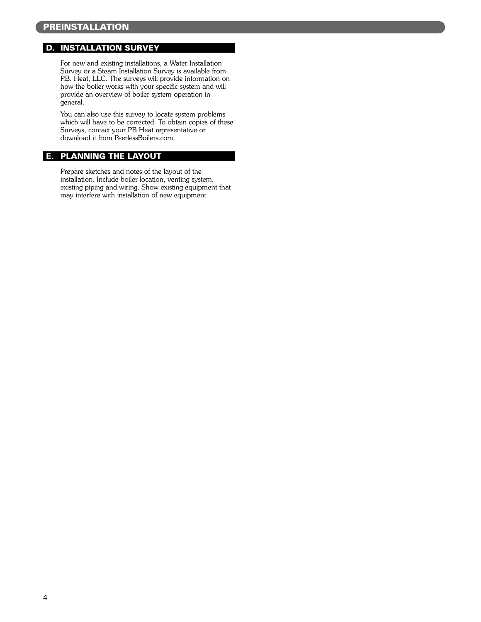#### D. INSTALLATION SURVEY

For new and existing installations, a Water Installation Survey or a Steam Installation Survey is available from P.B. Heat, LLC. The surveys will provide information on how the boiler works with your specific system and will provide an overview of boiler system operation in general.

You can also use this survey to locate system problems which will have to be corrected. To obtain copies of these Surveys, contact your PB Heat representative or download it from PeerlessBoilers.com.

#### E. PLANNING THE LAYOUT

Prepare sketches and notes of the layout of the installation. Include boiler location, venting system, existing piping and wiring. Show existing equipment that may interfere with installation of new equipment.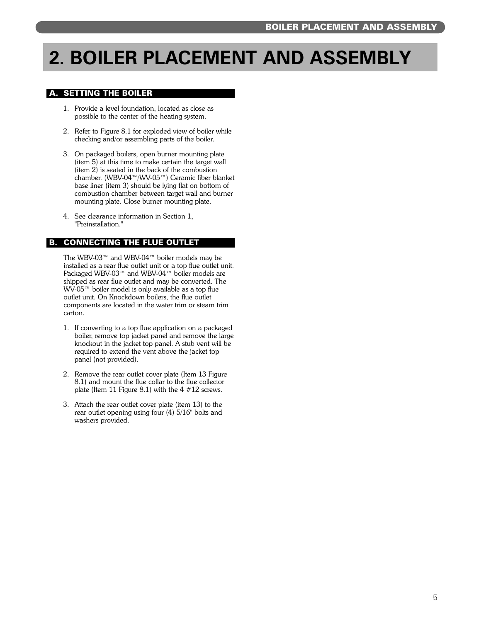## **2. BOILER PLACEMENT AND ASSEMBLY**

#### A. SETTING THE BOILER

- 1. Provide a level foundation, located as close as possible to the center of the heating system.
- 2. Refer to Figure 8.1 for exploded view of boiler while checking and/or assembling parts of the boiler.
- 3. On packaged boilers, open burner mounting plate (item 5) at this time to make certain the target wall (item 2) is seated in the back of the combustion chamber. (WBV-04™/WV-05™) Ceramic fiber blanket base liner (item 3) should be lying flat on bottom of combustion chamber between target wall and burner mounting plate. Close burner mounting plate.
- 4. See clearance information in Section 1, "Preinstallation."

#### B. CONNECTING THE FLUE OUTLET

The WBV-03™ and WBV-04™ boiler models may be installed as a rear flue outlet unit or a top flue outlet unit. Packaged WBV-03™ and WBV-04™ boiler models are shipped as rear flue outlet and may be converted. The WV-05™ boiler model is only available as a top flue outlet unit. On Knockdown boilers, the flue outlet components are located in the water trim or steam trim carton.

- 1. If converting to a top flue application on a packaged boiler, remove top jacket panel and remove the large knockout in the jacket top panel. A stub vent will be required to extend the vent above the jacket top panel (not provided).
- 2. Remove the rear outlet cover plate (Item 13 Figure 8.1) and mount the flue collar to the flue collector plate (Item 11 Figure 8.1) with the  $4 \# 12$  screws.
- 3. Attach the rear outlet cover plate (item 13) to the rear outlet opening using four (4) 5/16" bolts and washers provided.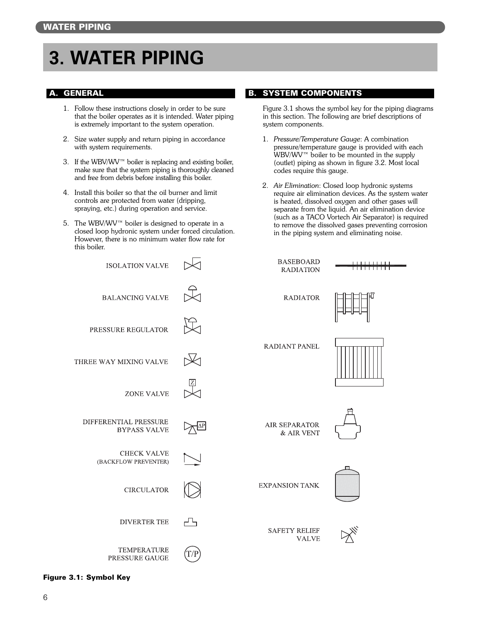## **3. WATER PIPING**

#### A. GENERAL

- 1. Follow these instructions closely in order to be sure that the boiler operates as it is intended. Water piping is extremely important to the system operation.
- 2. Size water supply and return piping in accordance with system requirements.
- 3. If the WBV/WV™ boiler is replacing and existing boiler, make sure that the system piping is thoroughly cleaned and free from debris before installing this boiler.
- 4. Install this boiler so that the oil burner and limit controls are protected from water (dripping, spraying, etc.) during operation and service.
- 5. The WBV/WV™ boiler is designed to operate in a closed loop hydronic system under forced circulation. However, there is no minimum water flow rate for this boiler.

#### B. SYSTEM COMPONENTS

Figure 3.1 shows the symbol key for the piping diagrams in this section. The following are brief descriptions of system components.

- 1. *Pressure/Temperature Gauge*: A combination pressure/temperature gauge is provided with each WBV/WV™ boiler to be mounted in the supply (outlet) piping as shown in figure 3.2. Most local codes require this gauge.
- 2. *Air Elimination*: Closed loop hydronic systems require air elimination devices. As the system water is heated, dissolved oxygen and other gases will separate from the liquid. An air elimination device (such as a TACO Vortech Air Separator) is required to remove the dissolved gases preventing corrosion in the piping system and eliminating noise.



#### Figure 3.1: Symbol Key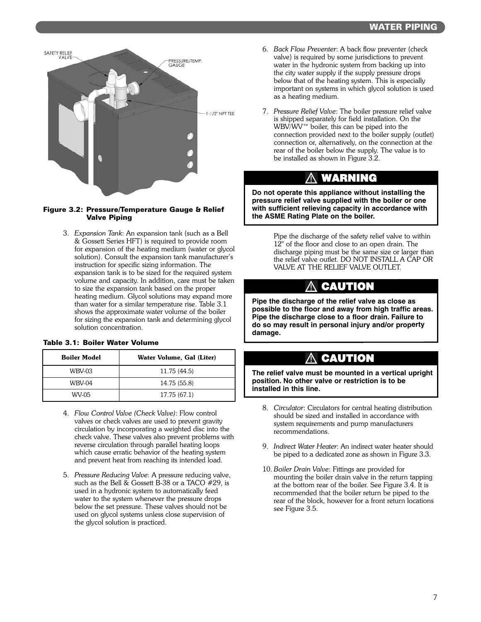

#### Figure 3.2: Pressure/Temperature Gauge & Relief Valve Piping

3. *Expansion Tank*: An expansion tank (such as a Bell & Gossett Series HFT) is required to provide room for expansion of the heating medium (water or glycol solution). Consult the expansion tank manufacturer's instruction for specific sizing information. The expansion tank is to be sized for the required system volume and capacity. In addition, care must be taken to size the expansion tank based on the proper heating medium. Glycol solutions may expand more than water for a similar temperature rise. Table 3.1 shows the approximate water volume of the boiler for sizing the expansion tank and determining glycol solution concentration.

#### Table 3.1: Boiler Water Volume

| <b>Boiler Model</b> | Water Volume, Gal (Liter) |
|---------------------|---------------------------|
| WBV-03              | 11.75 (44.5)              |
| WBV-04              | 14.75 (55.8)              |
| WV-05               | 17.75 (67.1)              |

- 4. *Flow Control Valve (Check Valve)*: Flow control valves or check valves are used to prevent gravity circulation by incorporating a weighted disc into the check valve. These valves also prevent problems with reverse circulation through parallel heating loops which cause erratic behavior of the heating system and prevent heat from reaching its intended load.
- 5. *Pressure Reducing Valve*: A pressure reducing valve, such as the Bell & Gossett B-38 or a TACO #29, is used in a hydronic system to automatically feed water to the system whenever the pressure drops below the set pressure. These valves should not be used on glycol systems unless close supervision of the glycol solution is practiced.
- 6. *Back Flow Preventer*: A back flow preventer (check valve) is required by some jurisdictions to prevent water in the hydronic system from backing up into the city water supply if the supply pressure drops below that of the heating system. This is especially important on systems in which glycol solution is used as a heating medium.
- 7. *Pressure Relief Valve*: The boiler pressure relief valve is shipped separately for field installation. On the WBV/WV™ boiler, this can be piped into the connection provided next to the boiler supply (outlet) connection or, alternatively, on the connection at the rear of the boiler below the supply. The value is to be installed as shown in Figure 3.2.

## **WARNING**

**Do not operate this appliance without installing the pressure relief valve supplied with the boiler or one with sufficient relieving capacity in accordance with the ASME Rating Plate on the boiler.**

> Pipe the discharge of the safety relief valve to within 12" of the floor and close to an open drain. The discharge piping must be the same size or larger than the relief valve outlet. DO NOT INSTALL A CAP OR VALVE AT THE RELIEF VALVE OUTLET.

### **CAUTION**

**Pipe the discharge of the relief valve as close as possible to the floor and away from high traffic areas. Pipe the discharge close to a floor drain. Failure to do so may result in personal injury and/or property damage.**

### **CAUTION**

**The relief valve must be mounted in a vertical upright position. No other valve or restriction is to be installed in this line.**

- 8. *Circulator*: Circulators for central heating distribution should be sized and installed in accordance with system requirements and pump manufacturers recommendations.
- 9. *Indirect Water Heater*: An indirect water heater should be piped to a dedicated zone as shown in Figure 3.3.
- 10. *Boiler Drain Valve*: Fittings are provided for mounting the boiler drain valve in the return tapping at the bottom rear of the boiler. See Figure 3.4. It is recommended that the boiler return be piped to the rear of the block, however for a front return locations see Figure 3.5.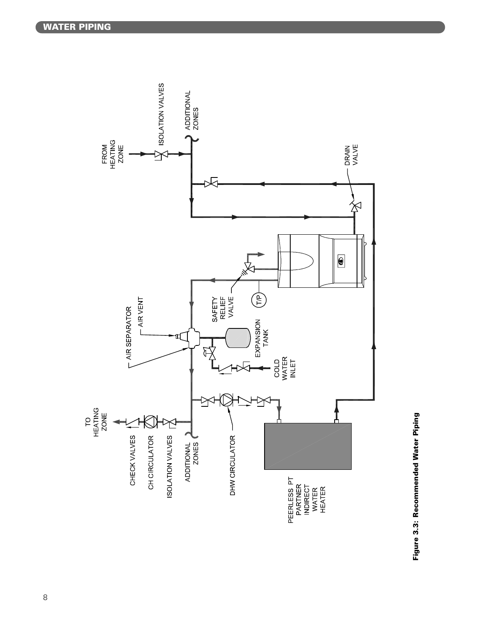

Figure 3.3: Recommended Water Piping Figure 3.3: Recommended Water Piping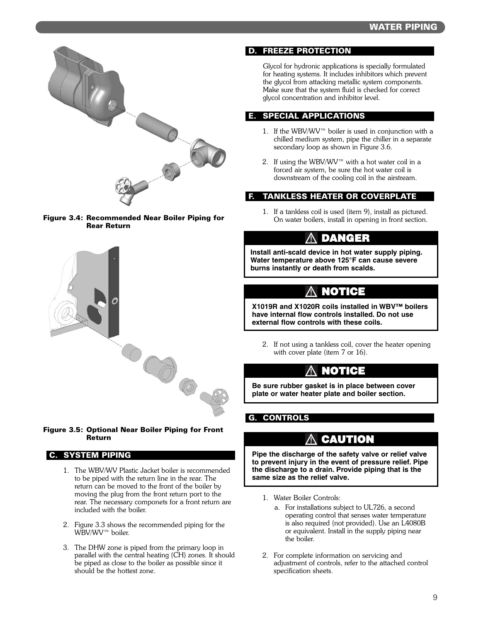







#### C. SYSTEM PIPING

- 1. The WBV/WV Plastic Jacket boiler is recommended to be piped with the return line in the rear. The return can be moved to the front of the boiler by moving the plug from the front return port to the rear. The necessary componets for a front return are included with the boiler.
- 2. Figure 3.3 shows the recommended piping for the WBV/WV™ boiler.
- 3. The DHW zone is piped from the primary loop in parallel with the central heating (CH) zones. It should be piped as close to the boiler as possible since it should be the hottest zone.

#### D. FREEZE PROTECTION

Glycol for hydronic applications is specially formulated for heating systems. It includes inhibitors which prevent the glycol from attacking metallic system components. Make sure that the system fluid is checked for correct glycol concentration and inhibitor level.

#### E. SPECIAL APPLICATIONS

- 1. If the WBV/WV™ boiler is used in conjunction with a chilled medium system, pipe the chiller in a separate secondary loop as shown in Figure 3.6.
- 2. If using the WBV/WV™ with a hot water coil in a forced air system, be sure the hot water coil is downstream of the cooling coil in the airstream.

#### F. TANKLESS HEATER OR COVERPLATE

1. If a tankless coil is used (item 9), install as pictured. On water boilers, install in opening in front section.

### **DANGER**

**Install anti-scald device in hot water supply piping. Water temperature above 125°F can cause severe burns instantly or death from scalds.**

### **NOTICE**

**X1019R and X1020R coils installed in WBV™ boilers have internal flow controls installed. Do not use external flow controls with these coils.**

2. If not using a tankless coil, cover the heater opening with cover plate (item 7 or 16).

### **NOTICE**

**Be sure rubber gasket is in place between cover plate or water heater plate and boiler section.**

#### G. CONTROLS

### **CAUTION**

**Pipe the discharge of the safety valve or relief valve to prevent injury in the event of pressure relief. Pipe the discharge to a drain. Provide piping that is the same size as the relief valve.**

- 1. Water Boiler Controls:
	- a. For installations subject to UL726, a second operating control that senses water temperature is also required (not provided). Use an L4080B or equivalent. Install in the supply piping near the boiler.
- 2. For complete information on servicing and adjustment of controls, refer to the attached control specification sheets.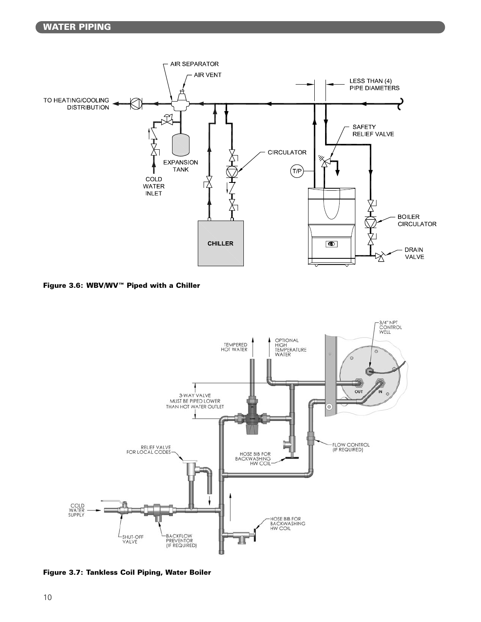

Figure 3.6: WBV/WV™ Piped with a Chiller



Figure 3.7: Tankless Coil Piping, Water Boiler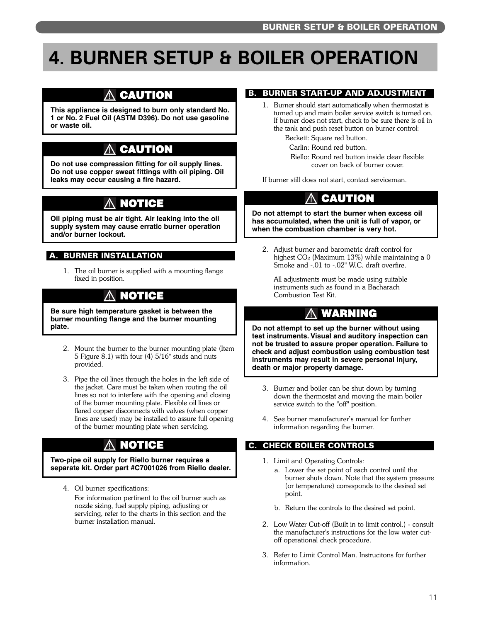## **4. BURNER SETUP & BOILER OPERATION**

## **CAUTION**

**This appliance is designed to burn only standard No. 1 or No. 2 Fuel Oil (ASTM D396). Do not use gasoline or waste oil.**

## **CAUTION**

**Do not use compression fitting for oil supply lines. Do not use copper sweat fittings with oil piping. Oil leaks may occur causing a fire hazard.**

## **NOTICE**

**Oil piping must be air tight. Air leaking into the oil supply system may cause erratic burner operation and/or burner lockout.**

#### A. BURNER INSTALLATION

1. The oil burner is supplied with a mounting flange fixed in position.

#### **NOTICE** ЛN

**Be sure high temperature gasket is between the burner mounting flange and the burner mounting plate.**

- 2. Mount the burner to the burner mounting plate (Item 5 Figure 8.1) with four (4) 5/16" studs and nuts provided.
- 3. Pipe the oil lines through the holes in the left side of the jacket. Care must be taken when routing the oil lines so not to interfere with the opening and closing of the burner mounting plate. Flexible oil lines or flared copper disconnects with valves (when copper lines are used) may be installed to assure full opening of the burner mounting plate when servicing.

## **NOTICE**

**Two-pipe oil supply for Riello burner requires a separate kit. Order part #C7001026 from Riello dealer.**

4. Oil burner specifications: For information pertinent to the oil burner such as nozzle sizing, fuel supply piping, adjusting or servicing, refer to the charts in this section and the burner installation manual.

#### **B. BURNER START-UP AND ADJUSTMENT**

1. Burner should start automatically when thermostat is turned up and main boiler service switch is turned on. If burner does not start, check to be sure there is oil in the tank and push reset button on burner control:

Beckett: Square red button.

Carlin: Round red button.

Riello: Round red button inside clear flexible cover on back of burner cover.

If burner still does not start, contact serviceman.

## **CAUTION**

**Do not attempt to start the burner when excess oil has accumulated, when the unit is full of vapor, or when the combustion chamber is very hot.**

2. Adjust burner and barometric draft control for highest  $CO<sub>2</sub>$  (Maximum 13%) while maintaining a 0 Smoke and -.01 to -.02" W.C. draft overfire.

All adjustments must be made using suitable instruments such as found in a Bacharach Combustion Test Kit.

## **WARNING**

**Do not attempt to set up the burner without using test instruments. Visual and auditory inspection can not be trusted to assure proper operation. Failure to check and adjust combustion using combustion test instruments may result in severe personal injury, death or major property damage.**

- 3. Burner and boiler can be shut down by turning down the thermostat and moving the main boiler service switch to the "off" position.
- 4. See burner manufacturer's manual for further information regarding the burner.

#### C. CHECK BOILER CONTROLS

- 1. Limit and Operating Controls:
	- a. Lower the set point of each control until the burner shuts down. Note that the system pressure (or temperature) corresponds to the desired set point.
	- b. Return the controls to the desired set point.
- 2. Low Water Cut-off (Built in to limit control.) consult the manufacturer's instructions for the low water cutoff operational check procedure.
- 3. Refer to Limit Control Man. Instrucitons for further information.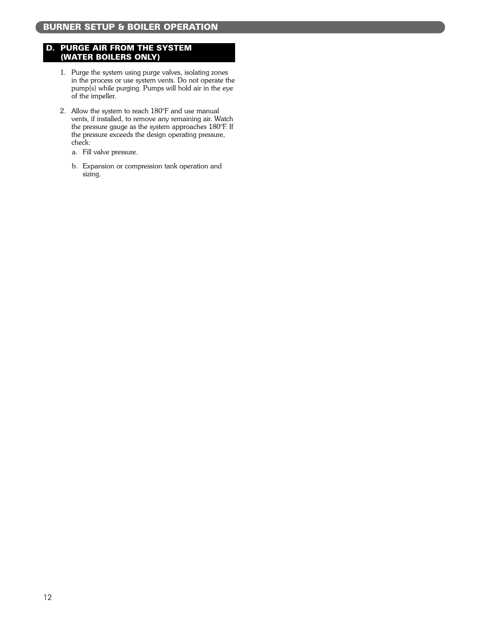#### D. PURGE AIR FROM THE SYSTEM (WATER BOILERS ONLY)

- 1. Purge the system using purge valves, isolating zones in the process or use system vents. Do not operate the pump(s) while purging. Pumps will hold air in the eye of the impeller.
- 2. Allow the system to reach 180°F and use manual vents, if installed, to remove any remaining air. Watch the pressure gauge as the system approaches 180°F. If the pressure exceeds the design operating pressure, check:
	- a. Fill valve pressure.
	- b. Expansion or compression tank operation and sizing.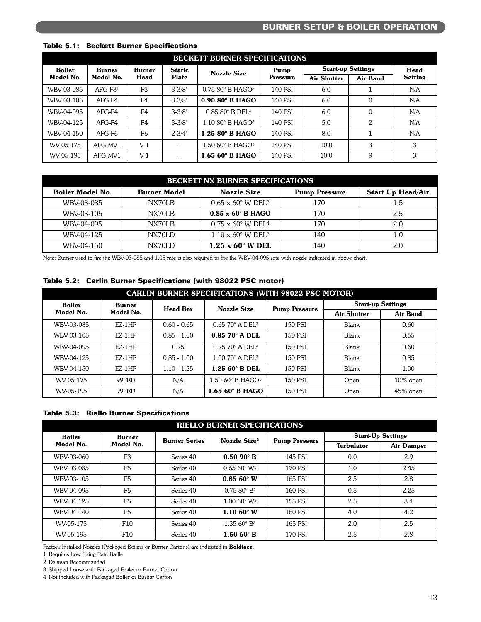| <b>BECKETT BURNER SPECIFICATIONS</b> |           |                |              |                                      |                    |                    |                 |                          |             |
|--------------------------------------|-----------|----------------|--------------|--------------------------------------|--------------------|--------------------|-----------------|--------------------------|-------------|
| <b>Boiler</b>                        | Burner    |                | Burner       | <b>Static</b>                        | <b>Nozzle Size</b> | Pump               |                 | <b>Start-up Settings</b> | <b>Head</b> |
| Model No.                            | Model No. | <b>Head</b>    | <b>Plate</b> | <b>Pressure</b>                      |                    | <b>Air Shutter</b> | <b>Air Band</b> | <b>Setting</b>           |             |
| WBV-03-085                           | $AFG-F31$ | F <sub>3</sub> | $3 - 3/8"$   | $0.7580^{\circ}$ B HAGO <sup>3</sup> | 140 PSI            | 6.0                |                 | N/A                      |             |
| WBV-03-105                           | $AFG-F4$  | F <sub>4</sub> | $3 - 3/8"$   | $0.9080$ ° B HAGO                    | 140 PSI            | 6.0                | $\Omega$        | N/A                      |             |
| WBV-04-095                           | $AFG-F4$  | F <sub>4</sub> | $3 - 3/8"$   | $0.8580^\circ$ B DEL <sup>4</sup>    | 140 PSI            | 6.0                | $\Omega$        | N/A                      |             |
| WBV-04-125                           | AFG-F4    | F <sub>4</sub> | $3 - 3/8"$   | $1.1080^{\circ}$ B HAGO <sup>3</sup> | 140 PSI            | 5.0                | 2               | N/A                      |             |
| WBV-04-150                           | AFG-F6    | F <sub>6</sub> | $2 - 3/4"$   | 1.25 80° B HAGO                      | 140 PSI            | 8.0                |                 | N/A                      |             |
| WV-05-175                            | AFG-MV1   | $V-1$          | ٠            | $1.5060^{\circ}$ B HAGO <sup>3</sup> | 140 PSI            | 10.0               | 3               | 3                        |             |
| WV-05-195                            | AFG-MV1   | $V-1$          | ٠            | $1.6560^\circ$ B HAGO                | 140 PSI            | 10.0               | 9               | 3                        |             |

#### Table 5.1: Beckett Burner Specifications

|                         | <b>BECKETT NX BURNER SPECIFICATIONS</b> |                                             |                      |                          |  |  |  |  |  |
|-------------------------|-----------------------------------------|---------------------------------------------|----------------------|--------------------------|--|--|--|--|--|
| <b>Boiler Model No.</b> | <b>Burner Model</b>                     | <b>Nozzle Size</b>                          | <b>Pump Pressure</b> | <b>Start Up Head/Air</b> |  |  |  |  |  |
| WBV-03-085              | <b>NX70LB</b>                           | $0.65 \times 60^{\circ}$ W DEL <sup>3</sup> | 170                  | 1.5                      |  |  |  |  |  |
| WBV-03-105              | <b>NX70LB</b>                           | $0.85 \times 60$ ° B HAGO                   | 170                  | 2.5                      |  |  |  |  |  |
| WBV-04-095              | NX70LB                                  | $0.75 \times 60^{\circ}$ W DEL <sup>4</sup> | 170                  | 2.0                      |  |  |  |  |  |
| WBV-04-125              | NX70LD                                  | $1.10 \times 60^{\circ}$ W DEL <sup>3</sup> | 140                  | 1.0                      |  |  |  |  |  |
| WBV-04-150              | NX70LD                                  | $1.25 \times 60$ ° W DEL                    | 140                  | 2.0                      |  |  |  |  |  |

Note: Burner used to fire the WBV-03-085 and 1.05 rate is also required to fire the WBV-04-095 rate with nozzle indicated in above chart.

#### Table 5.2: Carlin Burner Specifications (with 98022 PSC motor)

| <b>CARLIN BURNER SPECIFICATIONS (WITH 98022 PSC MOTOR)</b> |                     |                 |                                       |                      |                          |                 |  |  |  |
|------------------------------------------------------------|---------------------|-----------------|---------------------------------------|----------------------|--------------------------|-----------------|--|--|--|
| <b>Boiler</b>                                              | Burner<br>Model No. | <b>Head Bar</b> | <b>Nozzle Size</b>                    | <b>Pump Pressure</b> | <b>Start-up Settings</b> |                 |  |  |  |
| Model No.                                                  |                     |                 |                                       |                      | <b>Air Shutter</b>       | <b>Air Band</b> |  |  |  |
| WBV-03-085                                                 | $EZ-1HP$            | $0.60 - 0.65$   | $0.6570^{\circ}$ A DEL <sup>3</sup>   | <b>150 PSI</b>       | Blank                    | 0.60            |  |  |  |
| WBV-03-105                                                 | $EZ-1HP$            | $0.85 - 1.00$   | $0.85$ 70 $^{\circ}$ A DEL            | <b>150 PSI</b>       | Blank                    | 0.65            |  |  |  |
| WBV-04-095                                                 | $EZ-1HP$            | 0.75            | $0.7570^{\circ}$ A DEL <sup>4</sup>   | 150 PSI              | <b>Blank</b>             | 0.60            |  |  |  |
| WBV-04-125                                                 | $EZ-1HP$            | $0.85 - 1.00$   | $1.0070$ ° A DEL <sup>3</sup>         | <b>150 PSI</b>       | Blank                    | 0.85            |  |  |  |
| WBV-04-150                                                 | $EZ-1HP$            | $1.10 - 1.25$   | $1.25~60^\circ$ B DEL                 | <b>150 PSI</b>       | Blank                    | 1.00            |  |  |  |
| WV-05-175                                                  | 99FRD               | N/A             | $1.50~60^{\circ}$ B HAGO <sup>3</sup> | <b>150 PSI</b>       | Open                     | $10\%$ open     |  |  |  |
| WV-05-195                                                  | 99FRD               | N/A             | $1.6560$ ° B HAGO                     | <b>150 PSI</b>       | Open                     | 45% open        |  |  |  |

#### Table 5.3: Riello Burner Specifications

| <b>RIELLO BURNER SPECIFICATIONS</b> |                 |                      |                                 |                      |                          |                   |  |  |  |
|-------------------------------------|-----------------|----------------------|---------------------------------|----------------------|--------------------------|-------------------|--|--|--|
| <b>Boiler</b>                       | <b>Burner</b>   | <b>Burner Series</b> | Nozzle Size <sup>2</sup>        | <b>Pump Pressure</b> | <b>Start-Up Settings</b> |                   |  |  |  |
| Model No.                           | Model No.       |                      |                                 |                      | <b>Turbulator</b>        | <b>Air Damper</b> |  |  |  |
| WBV-03-060                          | F <sub>3</sub>  | Series 40            | $0.5090$ ° B                    | 145 PSI              | 0.0                      | 2.9               |  |  |  |
| WBV-03-085                          | F <sub>5</sub>  | Series 40            | $0.6560$ ° W <sup>3</sup>       | 170 PSI              | 1.0                      | 2.45              |  |  |  |
| WBV-03-105                          | F <sub>5</sub>  | Series 40            | $0.8560$ °W                     | 165 PSI              | 2.5                      | 2.8               |  |  |  |
| WBV-04-095                          | F <sub>5</sub>  | Series 40            | 0.7580° B <sup>4</sup>          | 160 PSI              | 0.5                      | 2.25              |  |  |  |
| WBV-04-125                          | F <sub>5</sub>  | Series 40            | $1.0060^{\circ}$ W <sup>3</sup> | 155 PSI              | 2.5                      | 3.4               |  |  |  |
| WBV-04-140                          | F <sub>5</sub>  | Series 40            | $1.10\,60^\circ$ W              | 160 PSI              | 4.0                      | 4.2               |  |  |  |
| WV-05-175                           | F <sub>10</sub> | Series 40            | 1.3560° B <sup>3</sup>          | 165 PSI              | 2.0                      | 2.5               |  |  |  |
| WV-05-195                           | F <sub>10</sub> | Series 40            | $1.5060$ ° B                    | 170 PSI              | 2.5                      | 2.8               |  |  |  |

Factory Installed Nozzles (Packaged Boilers or Burner Cartons) are indicated in **Boldface**.

1 Requires Low Firing Rate Baffle

2 Delavan Recommended

3 Shipped Loose with Packaged Boiler or Burner Carton

4 Not included with Packaged Boiler or Burner Carton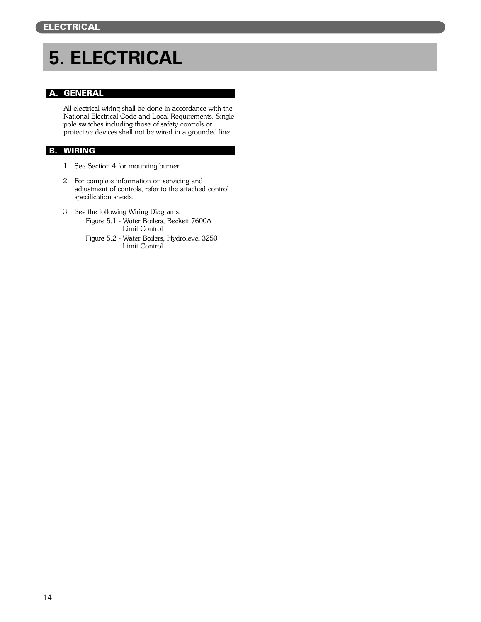## **5. ELECTRICAL**

#### A. GENERAL

All electrical wiring shall be done in accordance with the National Electrical Code and Local Requirements. Single pole switches including those of safety controls or protective devices shall not be wired in a grounded line.

#### B. WIRING

- 1. See Section 4 for mounting burner.
- 2. For complete information on servicing and adjustment of controls, refer to the attached control specification sheets.
- 3. See the following Wiring Diagrams:
	- Figure 5.1 Water Boilers, Beckett 7600A Limit Control
	- Figure 5.2 Water Boilers, Hydrolevel 3250 Limit Control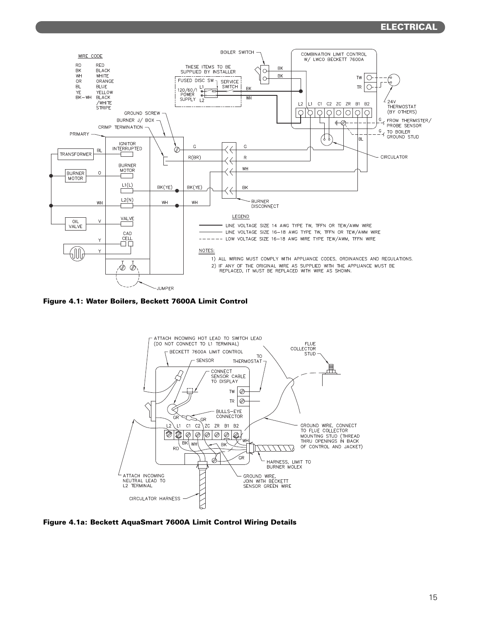#### ELECTRICAL



Figure 4.1: Water Boilers, Beckett 7600A Limit Control



Figure 4.1a: Beckett AquaSmart 7600A Limit Control Wiring Details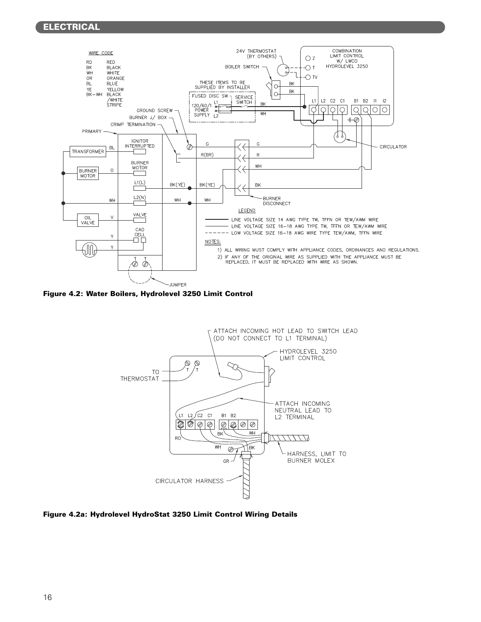#### ELECTRICAL



Figure 4.2: Water Boilers, Hydrolevel 3250 Limit Control



Figure 4.2a: Hydrolevel HydroStat 3250 Limit Control Wiring Details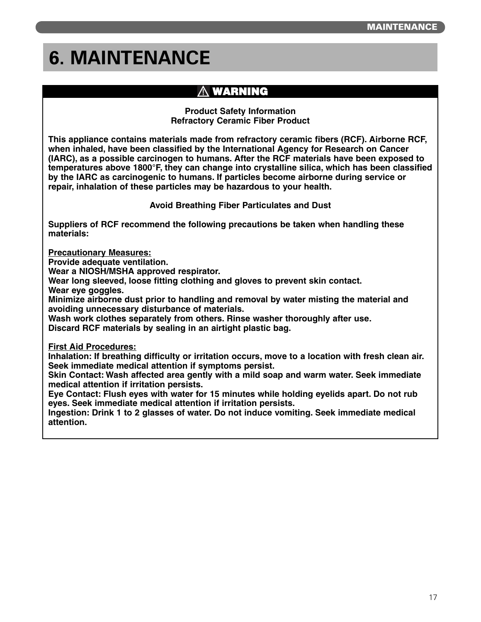## **6. MAINTENANCE**

### **WARNING**

**Product Safety Information Refractory Ceramic Fiber Product**

**This appliance contains materials made from refractory ceramic fibers (RCF). Airborne RCF, when inhaled, have been classified by the International Agency for Research on Cancer (IARC), as a possible carcinogen to humans. After the RCF materials have been exposed to temperatures above 1800°F, they can change into crystalline silica, which has been classified by the IARC as carcinogenic to humans. If particles become airborne during service or repair, inhalation of these particles may be hazardous to your health.**

**Avoid Breathing Fiber Particulates and Dust**

**Suppliers of RCF recommend the following precautions be taken when handling these materials:**

**Precautionary Measures:**

**Provide adequate ventilation.**

**Wear a NIOSH/MSHA approved respirator.**

**Wear long sleeved, loose fitting clothing and gloves to prevent skin contact.**

**Wear eye goggles.**

**Minimize airborne dust prior to handling and removal by water misting the material and avoiding unnecessary disturbance of materials.** 

**Wash work clothes separately from others. Rinse washer thoroughly after use.**

**Discard RCF materials by sealing in an airtight plastic bag.**

**First Aid Procedures:**

**Inhalation: If breathing difficulty or irritation occurs, move to a location with fresh clean air. Seek immediate medical attention if symptoms persist.**

**Skin Contact: Wash affected area gently with a mild soap and warm water. Seek immediate medical attention if irritation persists.**

**Eye Contact: Flush eyes with water for 15 minutes while holding eyelids apart. Do not rub eyes. Seek immediate medical attention if irritation persists.**

**Ingestion: Drink 1 to 2 glasses of water. Do not induce vomiting. Seek immediate medical attention.**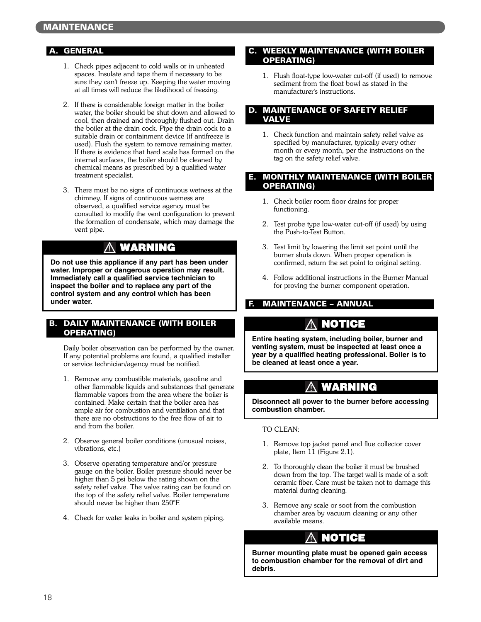#### A. GENERAL

- 1. Check pipes adjacent to cold walls or in unheated spaces. Insulate and tape them if necessary to be sure they can't freeze up. Keeping the water moving at all times will reduce the likelihood of freezing.
- 2. If there is considerable foreign matter in the boiler water, the boiler should be shut down and allowed to cool, then drained and thoroughly flushed out. Drain the boiler at the drain cock. Pipe the drain cock to a suitable drain or containment device (if antifreeze is used). Flush the system to remove remaining matter. If there is evidence that hard scale has formed on the internal surfaces, the boiler should be cleaned by chemical means as prescribed by a qualified water treatment specialist.
- 3. There must be no signs of continuous wetness at the chimney. If signs of continuous wetness are observed, a qualified service agency must be consulted to modify the vent configuration to prevent the formation of condensate, which may damage the vent pipe.

#### **WARNING** ΛN

**Do not use this appliance if any part has been under water. Improper or dangerous operation may result. Immediately call a qualified service technician to inspect the boiler and to replace any part of the control system and any control which has been under water.**

#### B. DAILY MAINTENANCE (WITH BOILER OPERATING)

Daily boiler observation can be performed by the owner. If any potential problems are found, a qualified installer or service technician/agency must be notified.

- 1. Remove any combustible materials, gasoline and other flammable liquids and substances that generate flammable vapors from the area where the boiler is contained. Make certain that the boiler area has ample air for combustion and ventilation and that there are no obstructions to the free flow of air to and from the boiler.
- 2. Observe general boiler conditions (unusual noises, vibrations, etc.)
- 3. Observe operating temperature and/or pressure gauge on the boiler. Boiler pressure should never be higher than 5 psi below the rating shown on the safety relief valve. The valve rating can be found on the top of the safety relief valve. Boiler temperature should never be higher than 250°F.
- 4. Check for water leaks in boiler and system piping.

#### C. WEEKLY MAINTENANCE (WITH BOILER OPERATING)

1. Flush float-type low-water cut-off (if used) to remove sediment from the float bowl as stated in the manufacturer's instructions.

#### D. MAINTENANCE OF SAFETY RELIEF VALVE

1. Check function and maintain safety relief valve as specified by manufacturer, typically every other month or every month, per the instructions on the tag on the safety relief valve.

#### E. MONTHLY MAINTENANCE (WITH BOILER OPERATING)

- 1. Check boiler room floor drains for proper functioning.
- 2. Test probe type low-water cut-off (if used) by using the Push-to-Test Button.
- 3. Test limit by lowering the limit set point until the burner shuts down. When proper operation is confirmed, return the set point to original setting.
- 4. Follow additional instructions in the Burner Manual for proving the burner component operation.

#### F. MAINTENANCE – ANNUAL

## **NOTICE**

**Entire heating system, including boiler, burner and venting system, must be inspected at least once a year by a qualified heating professional. Boiler is to be cleaned at least once a year.**

### **WARNING**

**Disconnect all power to the burner before accessing combustion chamber.**

#### TO CLEAN:

- 1. Remove top jacket panel and flue collector cover plate, Item 11 (Figure 2.1).
- 2. To thoroughly clean the boiler it must be brushed down from the top. The target wall is made of a soft ceramic fiber. Care must be taken not to damage this material during cleaning.
- 3. Remove any scale or soot from the combustion chamber area by vacuum cleaning or any other available means.

### **NOTICE**

**Burner mounting plate must be opened gain access to combustion chamber for the removal of dirt and debris.**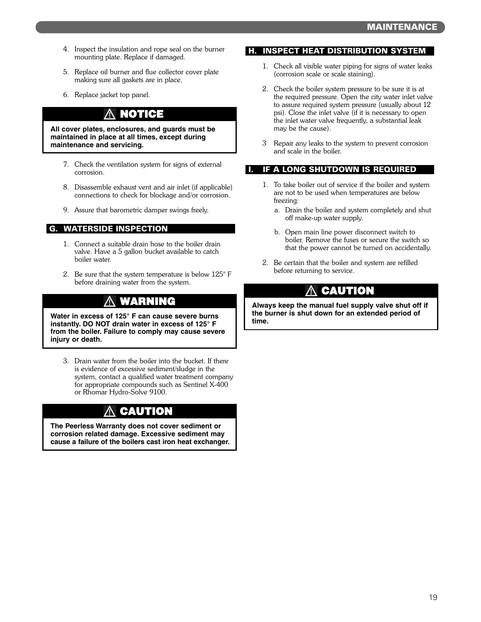- 4. Inspect the insulation and rope seal on the burner mounting plate. Replace if damaged.
- 5. Replace oil burner and flue collector cover plate making sure all gaskets are in place.
- 6. Replace jacket top panel.

## **NOTICE**

**All cover plates, enclosures, and guards must be maintained in place at all times, except during maintenance and servicing.**

- 7. Check the ventilation system for signs of external corrosion.
- 8. Disassemble exhaust vent and air inlet (if applicable) connections to check for blockage and/or corrosion.
- 9. Assure that barometric damper swings freely.

#### G. WATERSIDE INSPECTION

- 1. Connect a suitable drain hose to the boiler drain valve. Have a 5 gallon bucket available to catch boiler water.
- 2. Be sure that the system temperature is below 125° F before draining water from the system.

## **WARNING**

**Water in excess of 125° F can cause severe burns instantly. DO NOT drain water in excess of 125° F from the boiler. Failure to comply may cause severe injury or death.**

3. Drain water from the boiler into the bucket. If there is evidence of excessive sediment/sludge in the system, contact a qualified water treatment company for appropriate compounds such as Sentinel X-400 or Rhomar Hydro-Solve 9100.

## **CAUTION**

**The Peerless Warranty does not cover sediment or corrosion related damage. Excessive sediment may cause a failure of the boilers cast iron heat exchanger.**

#### H. INSPECT HEAT DISTRIBUTION SYSTEM

- 1. Check all visible water piping for signs of water leaks (corrosion scale or scale staining).
- 2. Check the boiler system pressure to be sure it is at the required pressure. Open the city water inlet valve to assure required system pressure (usually about 12 psi). Close the inlet valve (if it is necessary to open the inlet water valve frequently, a substantial leak may be the cause).
- 3 Repair any leaks to the system to prevent corrosion and scale in the boiler.

#### I. IF A LONG SHUTDOWN IS REQUIRED

- 1. To take boiler out of service if the boiler and system are not to be used when temperatures are below freezing:
	- a. Drain the boiler and system completely and shut off make-up water supply.
	- b. Open main line power disconnect switch to boiler. Remove the fuses or secure the switch so that the power cannot be turned on accidentally.
- 2. Be certain that the boiler and system are refilled before returning to service.

### **CAUTION**

**Always keep the manual fuel supply valve shut off if the burner is shut down for an extended period of time.**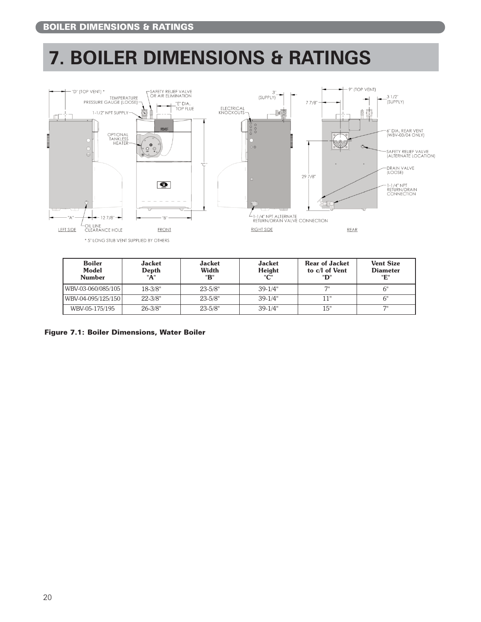## **7. BOILER DIMENSIONS & RATINGS**



| <b>Boiler</b><br>Model<br><b>Number</b> | <b>Jacket</b><br>Depth<br>"A" | <b>Jacket</b><br>Width<br>"B" | <b>Jacket</b><br>Height<br>"С" | <b>Rear of Jacket</b><br>to c/l of Vent<br>"D" | <b>Vent Size</b><br><b>Diameter</b><br>"E" |
|-----------------------------------------|-------------------------------|-------------------------------|--------------------------------|------------------------------------------------|--------------------------------------------|
| WBV-03-060/085/105                      | $18 - 3/8"$                   | $23 - 5/8"$                   | $39-1/4"$                      | 7"                                             | 6"                                         |
| WBV-04-095/125/150                      | $22 - 3/8"$                   | $23 - 5/8"$                   | $39-1/4"$                      | 11"                                            | 6"                                         |
| WBV-05-175/195                          | $26 - 3/8"$                   | $23 - 5/8"$                   | $39-1/4"$                      | 15"                                            | 71                                         |

Figure 7.1: Boiler Dimensions, Water Boiler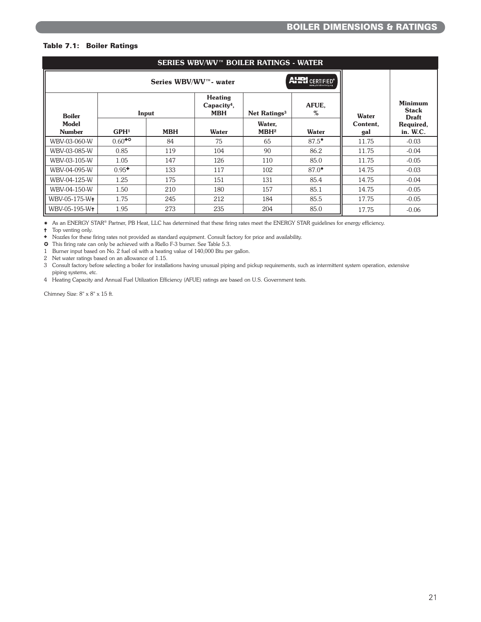#### Table 7.1: Boiler Ratings

| SERIES WBV/WV™ BOILER RATINGS - WATER |                  |            |                                                         |                            |            |                 |                                                |  |  |
|---------------------------------------|------------------|------------|---------------------------------------------------------|----------------------------|------------|-----------------|------------------------------------------------|--|--|
|                                       |                  |            |                                                         |                            |            |                 |                                                |  |  |
| <b>Boiler</b>                         |                  | Input      | <b>Heating</b><br>Capacity <sup>4</sup> ,<br><b>MBH</b> | Net Ratings <sup>3</sup>   | AFUE.<br>% | Water           | <b>Minimum</b><br><b>Stack</b><br><b>Draft</b> |  |  |
| <b>Model</b><br><b>Number</b>         | GPH <sup>1</sup> | <b>MBH</b> | <b>Water</b>                                            | Water,<br>MBH <sup>2</sup> | Water      | Content,<br>gal | Required,<br>in. W.C.                          |  |  |
| WBV-03-060-W                          | $0.60^{+0}$      | 84         | 75                                                      | 65                         | $87.5*$    | 11.75           | $-0.03$                                        |  |  |
| WBV-03-085-W                          | 0.85             | 119        | 104                                                     | 90                         | 86.2       | 11.75           | $-0.04$                                        |  |  |
| WBV-03-105-W                          | 1.05             | 147        | 126                                                     | 110                        | 85.0       | 11.75           | $-0.05$                                        |  |  |
| WBV-04-095-W                          | $0.95^+$         | 133        | 117                                                     | 102                        | $87.0*$    | 14.75           | $-0.03$                                        |  |  |
| WBV-04-125-W                          | 1.25             | 175        | 151                                                     | 131                        | 85.4       | 14.75           | $-0.04$                                        |  |  |
| WBV-04-150-W                          | 1.50             | 210        | 180                                                     | 157                        | 85.1       | 14.75           | $-0.05$                                        |  |  |
| WBV-05-175-W <sup>+</sup>             | 1.75             | 245        | 212                                                     | 184                        | 85.5       | 17.75           | $-0.05$                                        |  |  |
| WBV-05-195-W <sup>+</sup>             | 1.95             | 273        | 235                                                     | 204                        | 85.0       | 17.75           | $-0.06$                                        |  |  |

✸ As an ENERGY STAR® Partner, PB Heat, LLC has determined that these firing rates meet the ENERGY STAR guidelines for energy efficiency.

✝ Top venting only.

✚ Nozzles for these firing rates not provided as standard equipment. Consult factory for price and availability.

✪ This firing rate can only be achieved with a Riello F-3 burner. See Table 5.3.

1 Burner input based on No. 2 fuel oil with a heating value of 140,000 Btu per gallon.

2 Net water ratings based on an allowance of 1.15.

3 Consult factory before selecting a boiler for installations having unusual piping and pickup requirements, such as intermittent system operation, extensive piping systems, etc.

4 Heating Capacity and Annual Fuel Utilization Efficiency (AFUE) ratings are based on U.S. Government tests.

Chimney Size: 8" x 8" x 15 ft.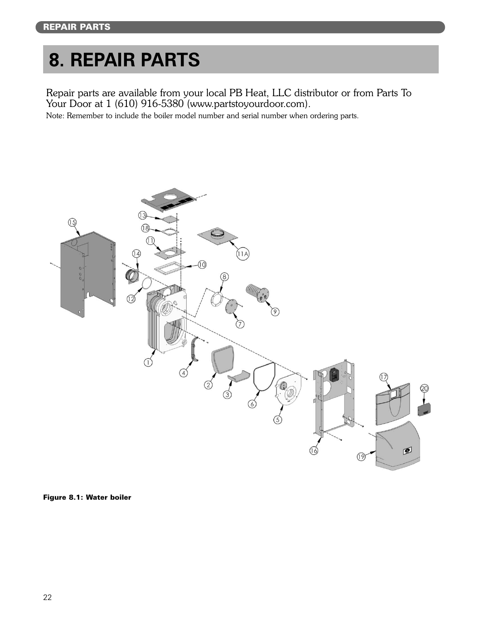## **8. REPAIR PARTS**

Repair parts are available from your local PB Heat, LLC distributor or from Parts To Your Door at 1 (610) 916-5380 (www.partstoyourdoor.com).

Note: Remember to include the boiler model number and serial number when ordering parts.



Figure 8.1: Water boiler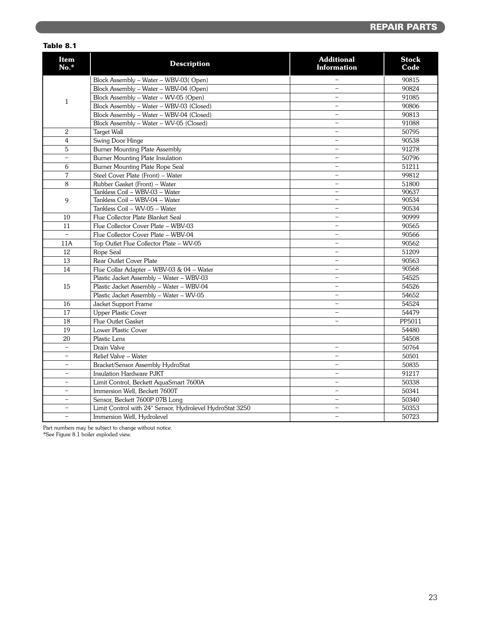#### REPAIR PARTS

#### Table 8.1

| <b>Item</b><br>No.*      | <b>Description</b>                                       | <b>Additional</b><br><b>Information</b> | <b>Stock</b><br>Code |
|--------------------------|----------------------------------------------------------|-----------------------------------------|----------------------|
| $\mathbf{1}$             | Block Assembly - Water - WBV-03(Open)                    | $\overline{\phantom{0}}$                | 90815                |
|                          | Block Assembly - Water - WBV-04 (Open)                   | $\overline{\phantom{0}}$                | 90824                |
|                          | Block Assembly - Water - WV-05 (Open)                    | $\overline{a}$                          | 91085                |
|                          | Block Assembly - Water - WBV-03 (Closed)                 | $\overline{\phantom{a}}$                | 90806                |
|                          | Block Assembly - Water - WBV-04 (Closed)                 | $\overline{a}$                          | 90813                |
|                          | Block Assembly - Water - WV-05 (Closed)                  | $\overline{\phantom{a}}$                | 91088                |
| $\overline{2}$           | Target Wall                                              | $\overline{\phantom{a}}$                | 50795                |
| 4                        | Swing Door Hinge                                         | $\overline{\phantom{0}}$                | 90538                |
| 5                        | <b>Burner Mounting Plate Assembly</b>                    | $\overline{\phantom{m}}$                | 91278                |
| $\equiv$                 | Burner Mounting Plate Insulation                         | $\overline{\phantom{0}}$                | 50796                |
| 6                        | Burner Mounting Plate Rope Seal                          | $\overline{a}$                          | 51211                |
| 7                        | Steel Cover Plate (Front) - Water                        | $\overline{\phantom{0}}$                | 99812                |
| 8                        | Rubber Gasket (Front) - Water                            | $\overline{\phantom{0}}$                | 51800                |
| 9                        | Tankless Coil - WBV-03 - Water                           | $\overline{\phantom{0}}$                | 90637                |
|                          | Tankless Coil - WBV-04 - Water                           | $\overline{\phantom{0}}$                | 90534                |
|                          | Tankless Coil - WV-05 - Water                            | $\overline{\phantom{0}}$                | 90534                |
| 10                       | Flue Collector Plate Blanket Seal                        | $\qquad \qquad -$                       | 90999                |
| 11                       | Flue Collector Cover Plate - WBV-03                      | $\frac{1}{2}$                           | 90565                |
| $\overline{a}$           | Flue Collector Cover Plate - WBV-04                      | $\overline{\phantom{0}}$                | 90566                |
| 11A                      | Top Outlet Flue Collector Plate - WV-05                  | $\qquad \qquad -$                       | 90562                |
| 12                       | Rope Seal                                                | $\overline{\phantom{0}}$                | 51209                |
| 13                       | Rear Outlet Cover Plate                                  | $\overline{\phantom{m}}$                | 90563                |
| 14                       | Flue Collar Adapter - WBV-03 & 04 - Water                | $\overline{\phantom{0}}$                | 90568                |
| 15                       | Plastic Jacket Assembly - Water - WBV-03                 | $\overline{\phantom{m}}$                | 54525                |
|                          | Plastic Jacket Assembly - Water - WBV-04                 | $\qquad \qquad -$                       | 54526                |
|                          | Plastic Jacket Assembly - Water - WV-05                  | $\overline{\phantom{a}}$                | 54652                |
| 16                       | Jacket Support Frame                                     | $\equiv$                                | 54524                |
| 17                       | <b>Upper Plastic Cover</b>                               | $\overline{\phantom{0}}$                | 54479                |
| 18                       | Flue Outlet Gasket                                       | $\overline{\phantom{0}}$                | PP5011               |
| 19                       | Lower Plastic Cover                                      |                                         | 54480                |
| 20                       | Plastic Lens                                             |                                         | 54508                |
| $\qquad \qquad -$        | Drain Valve                                              | $\overline{\phantom{0}}$                | 50764                |
| $\equiv$                 | Relief Valve - Water                                     | $\overline{\phantom{m}}$                | 50501                |
| $\overline{\phantom{0}}$ | Bracket/Sensor Assembly HydroStat                        | $\overline{\phantom{a}}$                | 50835                |
| $\overline{\phantom{0}}$ | Insulation Hardware PJKT                                 | $\overline{\phantom{m}}$                | 91217                |
| $\overline{\phantom{0}}$ | Limit Control, Beckett AquaSmart 7600A                   | $\overline{\phantom{0}}$                | 50338                |
| $\equiv$                 | Immersion Well, Beckett 7600T                            | $\overline{\phantom{m}}$                | 50341                |
| $\overline{\phantom{0}}$ | Sensor, Beckett 7600P 07B Long                           | $\overline{\phantom{0}}$                | 50340                |
|                          | Limit Control with 24" Sensor, Hydrolevel HydroStat 3250 | $\overline{a}$                          | 50353                |
| $\overline{\phantom{0}}$ | Immersion Well, Hydrolevel                               | $\overline{\phantom{m}}$                | 50723                |

Part numbers may be subject to change without notice.

\*See Figure 8.1 boiler exploded view.